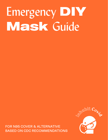## Emergency **DIY Mask** Guide

FOR N95 COVER & ALTERNATIVE BASED ON CDC RECOMMENDATIONS

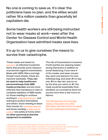No one is coming to save us. It's clear the politicians have no plan, and the elites would rather fill a million caskets than gracefully let capitalism die.

Some health workers are still being instructed not to wear masks at work—even after the Center for Disease Control and World Health Organization have admitted masks save lives.

### It's up to us to give ourselves the means to survive their catastrophe.

These masks are based on [research](https://smartairfilters.com/en/blog/best-materials-make-diy-face-mask-virus/)<sup>1</sup> on effective household items that provide some measure of protection against transmission. Made with HEPA filters and high thread-count sheets, these are machine washable. **They can be used to help healthcare personnel keep their N95 masks protected**, and are more effective than bandanas in case of complete depletion of N95 masks for those needing to continue working in ["essential services"](https://idph.iowa.gov/Emerging-Health-Issues/Novel-Coronavirus/Essential-Services-Personnel)<sup>2</sup> and wishing to protect themselves and others, those needing to leave their houses for <u>[essential reasons](https://www.cdc.gov/coronavirus/2019-ncov/healthcare-facilities/dialysis.html)</u><sup>3</sup>, and those needing to take care of [a loved](https://www.cdc.gov/coronavirus/2019-ncov/if-you-are-sick/care-for-someone.html)<sup>4</sup> one safely at home when **no other personal protective equipment is available.** 

The risk of transmission is lowered if both parties are wearing masks during interaction in addition to social distancing. If you have 4 of the masks, and wear one per day, each one placed in it's own individual bag, and wear #1 on day one, #2 on day two, and so on, by the time you return to #1, the mask would be essentially timesterilized, as coronavirus does not survive more than a few hours on fabrics.

[The effectiveness of homemade](https://www.ncbi.nlm.nih.gov/pmc/articles/PMC2440799/)  [masks, in the event of no other](https://www.ncbi.nlm.nih.gov/pmc/articles/PMC2440799/)  [alternative, has been shown to reduce](https://www.ncbi.nlm.nih.gov/pmc/articles/PMC2440799/) the risk of pathogen transmission.<sup>5</sup>

5. https://www.ncbi.nlm.nih.gov/pmc/articles/PMC2440799/

<sup>1.</sup> https://smartairfilters.com/en/blog/best-materials-make-diy-face-mask-virus/

<sup>2.</sup> https://idph.iowa.gov/Emerging-Health-Issues/Novel-Coronavirus/Essential-Services-Personnel

<sup>3.</sup> https://www.cdc.gov/coronavirus/2019-ncov/healthcare-facilities/dialysis.html

<sup>4.</sup> https://www.cdc.gov/coronavirus/2019-ncov/if-you-are-sick/care-for-someone.html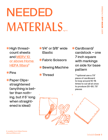### NEEDED MATERIALS fig 1-2

ǠHigh threadcount sheets and [MERV 10](https://www.discountfilters.com/air-filters/16-25-1-merv-11-pleated-air-filter/p109898/?poiu%5B0%5D=109898%2C109862.78&poiu%5B1%5D=181332%2C181268.04&utm_source=google&utm_medium=Product_Search&utm_campaign=google_base&alt_name=6pk+16x25x1+MERV+11+Allergy+Furnace+Air+Filter+by+AIRx&gclid=EAIaIQobChMI2JOBvtuu6AIViZ6zCh1uawZvEAQYASABEgLzE_D_BwE)  [or above Home](https://www.discountfilters.com/air-filters/16-25-1-merv-11-pleated-air-filter/p109898/?poiu%5B0%5D=109898%2C109862.78&poiu%5B1%5D=181332%2C181268.04&utm_source=google&utm_medium=Product_Search&utm_campaign=google_base&alt_name=6pk+16x25x1+MERV+11+Allergy+Furnace+Air+Filter+by+AIRx&gclid=EAIaIQobChMI2JOBvtuu6AIViZ6zCh1uawZvEAQYASABEgLzE_D_BwE)  **HEPA filters<sup>6</sup>** 

### Pins

ǠPaper Clipsstraightened (anything is better than nothing, but if 5" long when straightened is ideal)

- Ǡ1/4" or 3/8" wide Elastic
- ǠFabric Scissors
- **Sewing Machine**
- **Thread**

Cardboard/ cardstock – one 7 inch square with markings on side for base pattern

\*\*optional use a 7.5" piece of cardboard to loop around 10-15 times to cut all at once to produce 20-30, 7.5" pieces

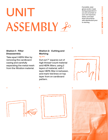### UNIT ASSEMBLY 20

If possible, wear gloves and/or mask during preparation if you are uncertain of your own exposure status, and wipe down all surfaces with disinfectant prior to starting.

### **Station 1: Filter Disassembly**

Take apart HEPA filter by removing the cardboard casing and carefully separating the metal mesh from the filtration material.

### **Station 2: Cutting and Marking**

**fig. 3-6**

Cut out 7" squares out of high thread-count material and HEPA filters, using 2 layers of material, with 1 layer HEPA filter in between, and mark fold lines on top layer from on cardboard pattern.











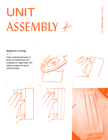# UNIT ASSEMBLY 20

7

#### **Station 3: Ironing**

#### **fig. 7-11**

Fold, matching 3 sets of dots on sides and iron creases on high heat. Pin folds in place on each vertical side.





8





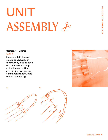# UNIT ASSEMBLY 20

#### **Station 4: Elastic fig. 12+13**

Place one 7.5" piece of elastic to each side of the mask by placing each end of the elastic strip at the top and bottom and pinning in place, be sure that it is not twisted before proceeding.





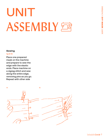### UNIT ASSEMBLY 包

#### **Sewing**

#### **fig 14-19**

Place one prepared mask on the machine and prepare to sew the edge with the elastic ends. Place machine on a zigzag stitch and sew along the entire edge, removing pins as you go. Repeat with other side

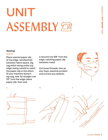# UNIT ASSEMBLY 的

#### **Sewing**

#### **fig 16-19**

Place opened paper clip at top edge, sandwiched between fabric layers. Zig zag stitch along entire top edge, being careful to catch the paper clip in the stitch. (If your machine doesn't zig-zag, sew 1st straight row 1/2" from the edge, place paper clip, then sew

a second row 3/8" from the edge, catching paper clip between rows).

Cut loose threads, trim up any frays, examine product and correct any defects.





 $9$  10  $10$  11  $11$ 

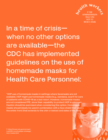

In a time of crisis when no other options are available—the CDC has implemented guidelines on the use of homemade masks for Health Care Personnel:

"HCP use of homemade masks In settings where facemasks are not available, HCP might use homemade masks (e.g., bandana, scarf) for care of patients with COVID-19 as a last resort. However, homemade masks are not considered PPE, since their capability to protect HCP is unknown. Caution should be exercised when considering this option. Homemade masks should ideally be used in combination with a face shield that covers the entire front (that extends to the chin or below) and sides of the face."<sup>7</sup>

7. https://www.cdc.gov/coronavirus/2019-ncov/hcp/ppe-strategy/ face-masks.html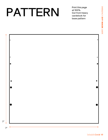### PATTERN

7''

7''

0

Print this page at 100%. Cut from heavy cardstock for base pattern